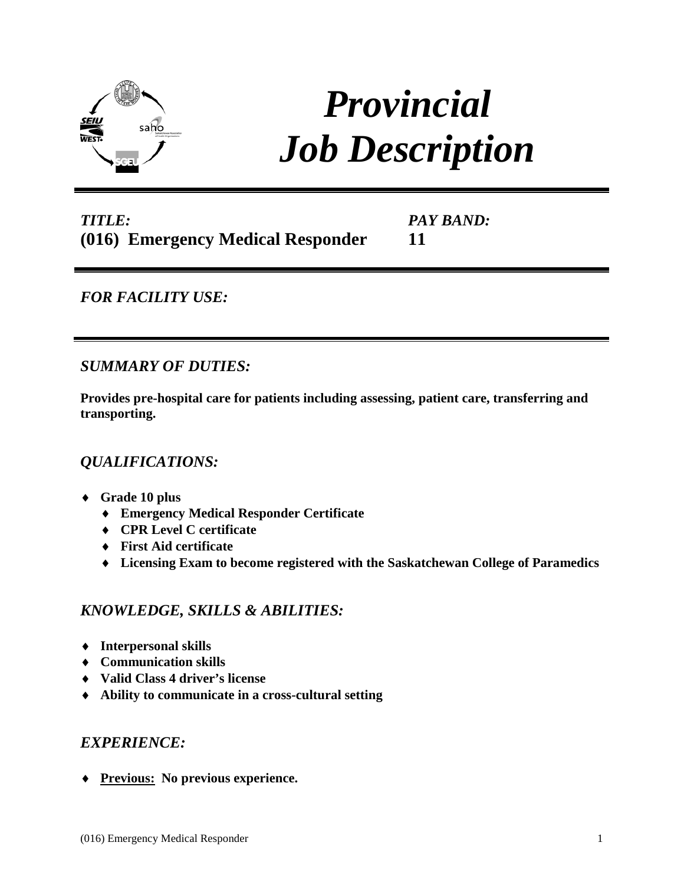

# *Provincial Job Description*

## *TITLE:* **(016) Emergency Medical Responder**

*PAY BAND:* **11**

## *FOR FACILITY USE:*

## *SUMMARY OF DUTIES:*

**Provides pre-hospital care for patients including assessing, patient care, transferring and transporting.**

#### *QUALIFICATIONS:*

- ♦ **Grade 10 plus**
	- ♦ **Emergency Medical Responder Certificate**
	- ♦ **CPR Level C certificate**
	- ♦ **First Aid certificate**
	- ♦ **Licensing Exam to become registered with the Saskatchewan College of Paramedics**

#### *KNOWLEDGE, SKILLS & ABILITIES:*

- ♦ **Interpersonal skills**
- ♦ **Communication skills**
- ♦ **Valid Class 4 driver's license**
- ♦ **Ability to communicate in a cross-cultural setting**

#### *EXPERIENCE:*

♦ **Previous: No previous experience.**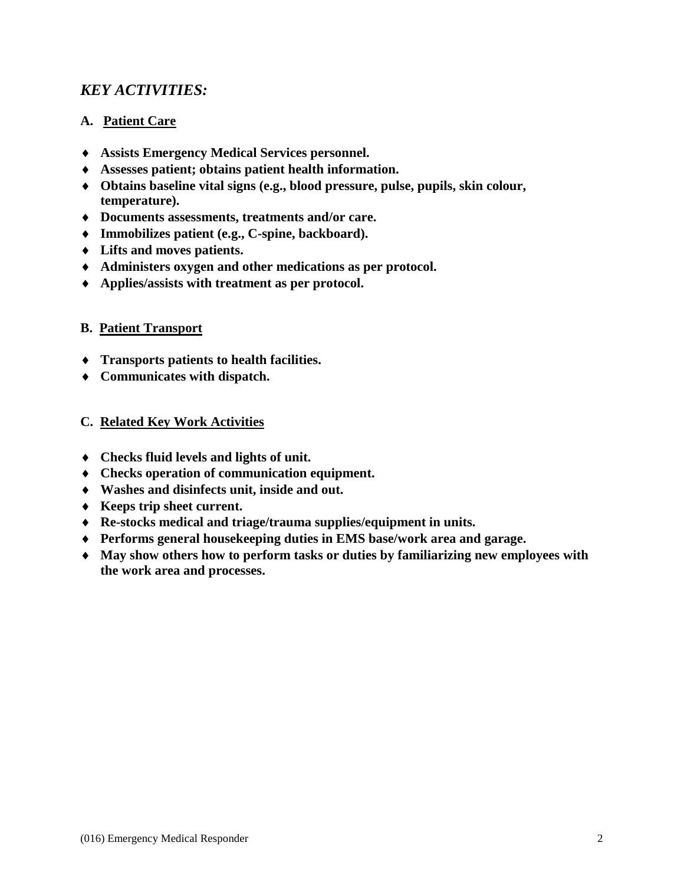## *KEY ACTIVITIES:*

#### **A. Patient Care**

- ♦ **Assists Emergency Medical Services personnel.**
- ♦ **Assesses patient; obtains patient health information.**
- ♦ **Obtains baseline vital signs (e.g., blood pressure, pulse, pupils, skin colour, temperature).**
- ♦ **Documents assessments, treatments and/or care.**
- ♦ **Immobilizes patient (e.g., C-spine, backboard).**
- ♦ **Lifts and moves patients.**
- ♦ **Administers oxygen and other medications as per protocol.**
- ♦ **Applies/assists with treatment as per protocol.**

#### **B. Patient Transport**

- ♦ **Transports patients to health facilities.**
- ♦ **Communicates with dispatch.**

#### **C. Related Key Work Activities**

- ♦ **Checks fluid levels and lights of unit.**
- ♦ **Checks operation of communication equipment.**
- ♦ **Washes and disinfects unit, inside and out.**
- ♦ **Keeps trip sheet current.**
- ♦ **Re-stocks medical and triage/trauma supplies/equipment in units.**
- ♦ **Performs general housekeeping duties in EMS base/work area and garage.**
- ♦ **May show others how to perform tasks or duties by familiarizing new employees with the work area and processes.**